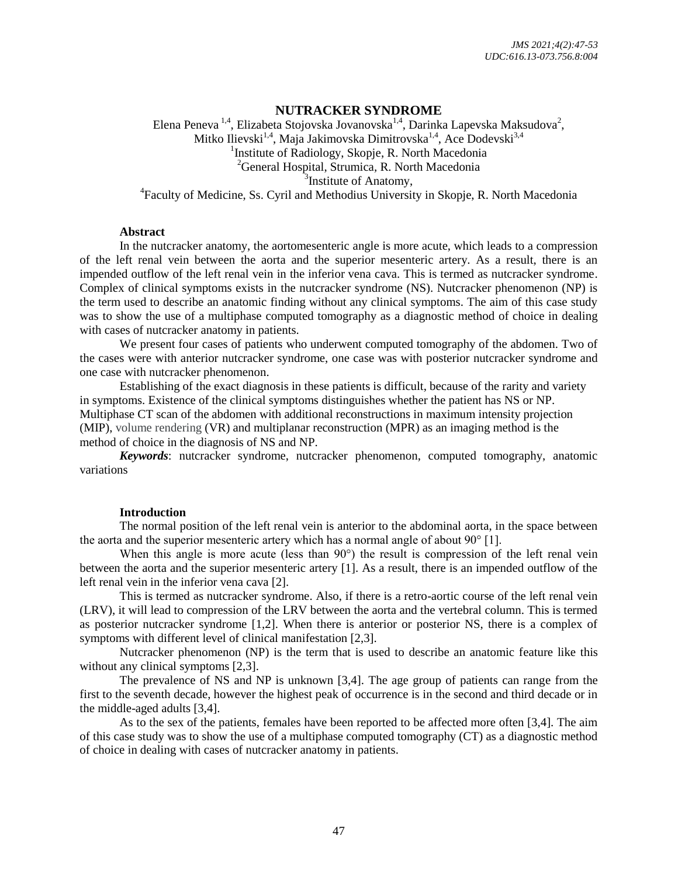## **NUTRACKER SYNDROME**

Elena Peneva  $^{1,4}$ , Elizabeta Stojovska Jovanovska $^{1,4}$ , Darinka Lapevska Maksudova $^2$ , Mitko Ilievski<sup>1,4</sup>, Maja Jakimovska Dimitrovska<sup>1,4</sup>, Ace Dodevski<sup>3,4</sup> <sup>1</sup>Institute of Radiology, Skopje, R. North Macedonia <sup>2</sup>General Hospital, Strumica*,* R. North Macedonia <sup>3</sup>Institute of Anatomy, <sup>4</sup>Faculty of Medicine, Ss. Cyril and Methodius University in Skopje, R. North Macedonia

#### **Abstract**

In the nutcracker anatomy, the aortomesenteric angle is more acute, which leads to a compression of the left renal vein between the aorta and the superior mesenteric artery. As a result, there is an impended outflow of the left renal vein in the inferior vena cava. This is termed as nutcracker syndrome. Complex of clinical symptoms exists in the nutcracker syndrome (NS). Nutcracker phenomenon (NP) is the term used to describe an anatomic finding without any clinical symptoms. The aim of this case study was to show the use of a multiphase computed tomography as a diagnostic method of choice in dealing with cases of nutcracker anatomy in patients.

We present four cases of patients who underwent computed tomography of the abdomen. Two of the cases were with anterior nutcracker syndrome, one case was with posterior nutcracker syndrome and one case with nutcracker phenomenon.

Establishing of the exact diagnosis in these patients is difficult, because of the rarity and variety in symptoms. Existence of the clinical symptoms distinguishes whether the patient has NS or NP. Multiphase CT scan of the abdomen with additional reconstructions in maximum intensity projection (MIP), volume rendering (VR) and multiplanar reconstruction (MPR) as an imaging method is the method of choice in the diagnosis of NS and NP.

*Keywords*: nutcracker syndrome, nutcracker phenomenon, computed tomography, anatomic variations

### **Introduction**

The normal position of the left renal vein is anterior to the abdominal aorta, in the space between the aorta and the superior mesenteric artery which has a normal angle of about  $90^{\circ}$  [1].

When this angle is more acute (less than 90°) the result is compression of the left renal vein between the aorta and the superior mesenteric artery [1]. As a result, there is an impended outflow of the left renal vein in the inferior vena cava [2].

This is termed as nutcracker syndrome. Also, if there is a retro-aortic course of the left renal vein (LRV), it will lead to compression of the LRV between the aorta and the vertebral column. This is termed as posterior nutcracker syndrome [1,2]. When there is anterior or posterior NS, there is a complex of symptoms with different level of clinical manifestation [2,3].

Nutcracker phenomenon (NP) is the term that is used to describe an anatomic feature like this without any clinical symptoms [2,3].

The prevalence of NS and NP is unknown [3,4]. The age group of patients can range from the first to the seventh decade, however the highest peak of occurrence is in the second and third decade or in the middle-aged adults [3,4].

As to the sex of the patients, females have been reported to be affected more often [3,4]. The aim of this case study was to show the use of a multiphase computed tomography (CT) as a diagnostic method of choice in dealing with cases of nutcracker anatomy in patients.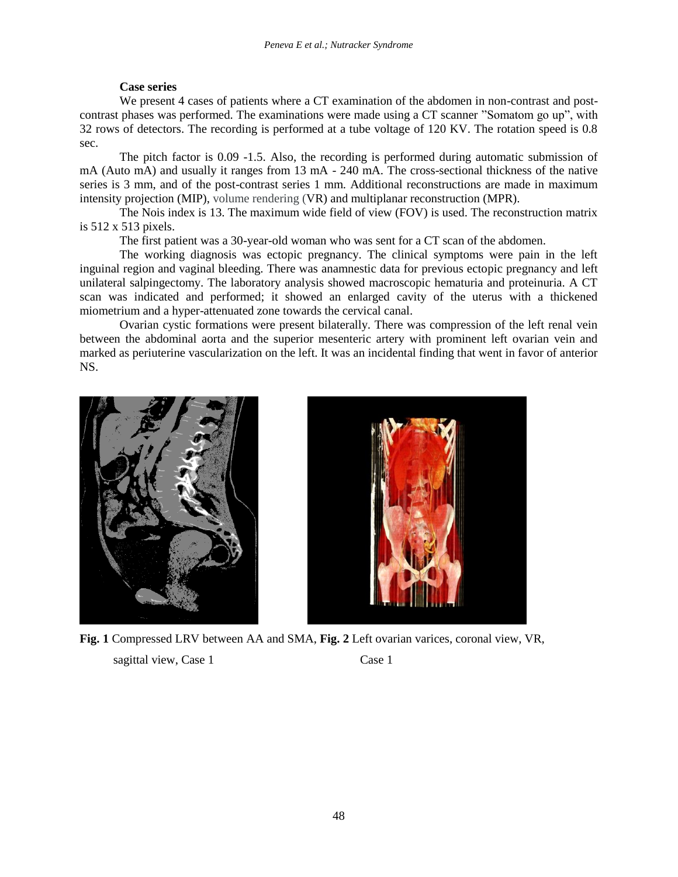### **Case series**

We present 4 cases of patients where a CT examination of the abdomen in non-contrast and postcontrast phases was performed. The examinations were made using a CT scanner "Somatom go up", with 32 rows of detectors. The recording is performed at a tube voltage of 120 KV. The rotation speed is 0.8 sec.

The pitch factor is 0.09 -1.5. Also, the recording is performed during automatic submission of mA (Auto mA) and usually it ranges from 13 mA - 240 mA. The cross-sectional thickness of the native series is 3 mm, and of the post-contrast series 1 mm. Additional reconstructions are made in maximum intensity projection (MIP), volume rendering (VR) and multiplanar reconstruction (MPR).

The Nois index is 13. The maximum wide field of view (FOV) is used. The reconstruction matrix is 512 x 513 pixels.

The first patient was a 30-year-old woman who was sent for a CT scan of the abdomen.

The working diagnosis was ectopic pregnancy. The clinical symptoms were pain in the left inguinal region and vaginal bleeding. There was anamnestic data for previous ectopic pregnancy and left unilateral salpingectomy. The laboratory analysis showed macroscopic hematuria and proteinuria. A CT scan was indicated and performed; it showed an enlarged cavity of the uterus with a thickened miometrium and a hyper-attenuated zone towards the cervical canal.

Ovarian cystic formations were present bilaterally. There was compression of the left renal vein between the abdominal aorta and the superior mesenteric artery with prominent left ovarian vein and marked as periuterine vascularization on the left. It was an incidental finding that went in favor of anterior NS.





**Fig. 1** Compressed LRV between AA and SMA, **Fig. 2** Left ovarian varices, coronal view, VR, sagittal view, Case 1 Case 1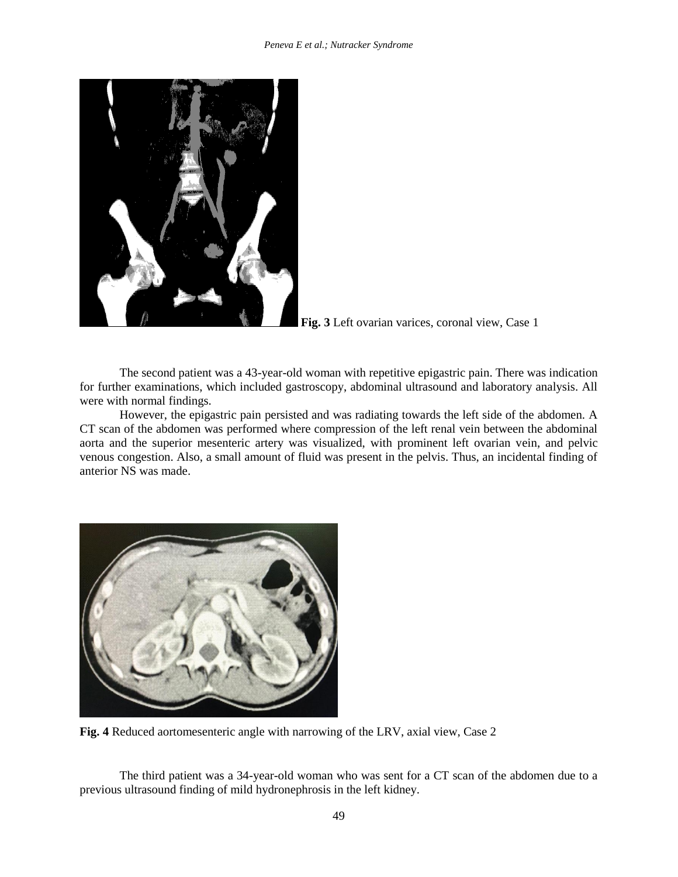

**Fig. 3** Left ovarian varices, coronal view, Case 1

The second patient was a 43-year-old woman with repetitive epigastric pain. There was indication for further examinations, which included gastroscopy, abdominal ultrasound and laboratory analysis. All were with normal findings.

However, the epigastric pain persisted and was radiating towards the left side of the abdomen. A CT scan of the abdomen was performed where compression of the left renal vein between the abdominal aorta and the superior mesenteric artery was visualized, with prominent left ovarian vein, and pelvic venous congestion. Also, a small amount of fluid was present in the pelvis. Thus, an incidental finding of anterior NS was made.



**Fig. 4** Reduced aortomesenteric angle with narrowing of the LRV, axial view, Case 2

The third patient was a 34-year-old woman who was sent for a CT scan of the abdomen due to a previous ultrasound finding of mild hydronephrosis in the left kidney.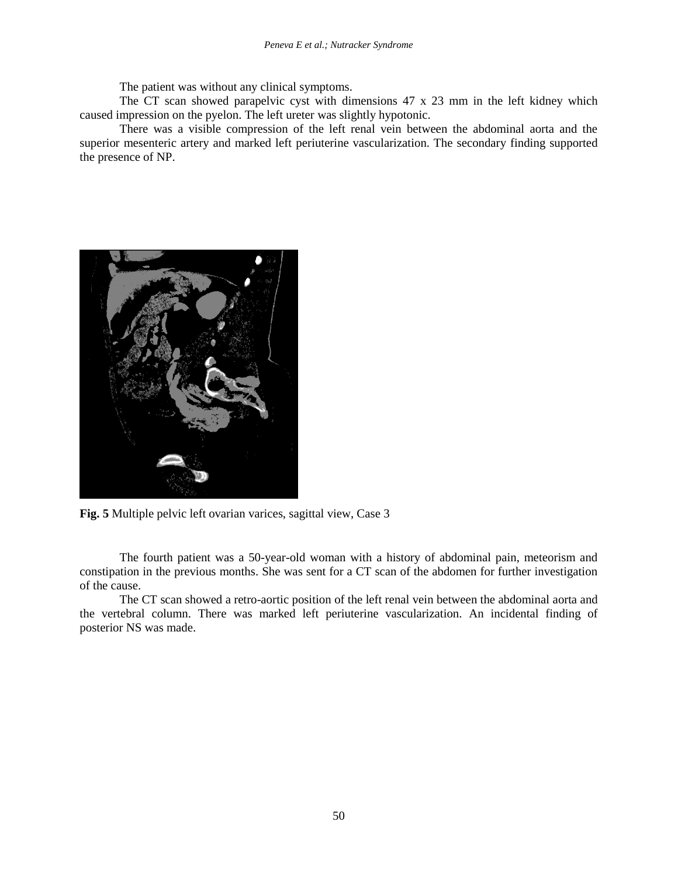The patient was without any clinical symptoms.

The CT scan showed parapelvic cyst with dimensions 47 x 23 mm in the left kidney which caused impression on the pyelon. The left ureter was slightly hypotonic.

There was a visible compression of the left renal vein between the abdominal aorta and the superior mesenteric artery and marked left periuterine vascularization. The secondary finding supported the presence of NP.



**Fig. 5** Multiple pelvic left ovarian varices, sagittal view, Case 3

The fourth patient was a 50-year-old woman with a history of abdominal pain, meteorism and constipation in the previous months. She was sent for a CT scan of the abdomen for further investigation of the cause.

The CT scan showed a retro-aortic position of the left renal vein between the abdominal aorta and the vertebral column. There was marked left periuterine vascularization. An incidental finding of posterior NS was made.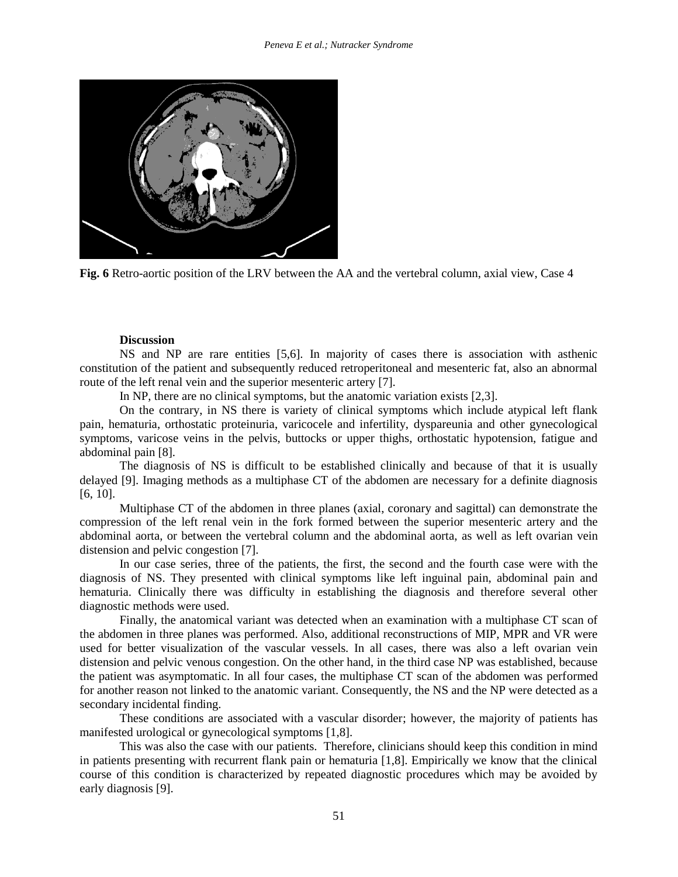

**Fig. 6** Retro-aortic position of the LRV between the AA and the vertebral column, axial view, Case 4

#### **Discussion**

NS and NP are rare entities [5,6]. In majority of cases there is association with asthenic constitution of the patient and subsequently reduced retroperitoneal and mesenteric fat, also an abnormal route of the left renal vein and the superior mesenteric artery [7].

In NP, there are no clinical symptoms, but the anatomic variation exists [2,3].

On the contrary, in NS there is variety of clinical symptoms which include atypical left flank pain, hematuria, orthostatic proteinuria, varicocele and infertility, dyspareunia and other gynecological symptoms, varicose veins in the pelvis, buttocks or upper thighs, orthostatic hypotension, fatigue and abdominal pain [8].

The diagnosis of NS is difficult to be established clinically and because of that it is usually delayed [9]. Imaging methods as a multiphase CT of the abdomen are necessary for a definite diagnosis [6, 10].

Multiphase CT of the abdomen in three planes (axial, coronary and sagittal) can demonstrate the compression of the left renal vein in the fork formed between the superior mesenteric artery and the abdominal aorta, or between the vertebral column and the abdominal aorta, as well as left ovarian vein distension and pelvic congestion [7].

In our case series, three of the patients, the first, the second and the fourth case were with the diagnosis of NS. They presented with clinical symptoms like left inguinal pain, abdominal pain and hematuria. Clinically there was difficulty in establishing the diagnosis and therefore several other diagnostic methods were used.

Finally, the anatomical variant was detected when an examination with a multiphase CT scan of the abdomen in three planes was performed. Also, additional reconstructions of MIP, MPR and VR were used for better visualization of the vascular vessels. In all cases, there was also a left ovarian vein distension and pelvic venous congestion. On the other hand, in the third case NP was established, because the patient was asymptomatic. In all four cases, the multiphase CT scan of the abdomen was performed for another reason not linked to the anatomic variant. Consequently, the NS and the NP were detected as a secondary incidental finding.

These conditions are associated with a vascular disorder; however, the majority of patients has manifested urological or gynecological symptoms [1,8].

This was also the case with our patients. Therefore, clinicians should keep this condition in mind in patients presenting with recurrent flank pain or hematuria [1,8]. Empirically we know that the clinical course of this condition is characterized by repeated diagnostic procedures which may be avoided by early diagnosis [9].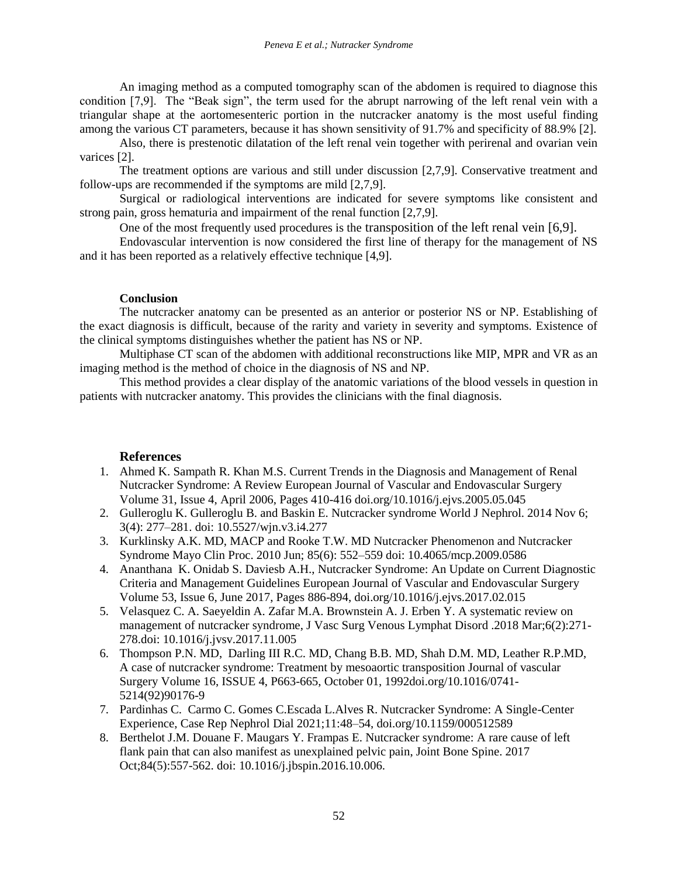An imaging method as a computed tomography scan of the abdomen is required to diagnose this condition [7,9]. The "Beak sign", the term used for the abrupt narrowing of the left renal vein with a triangular shape at the aortomesenteric portion in the nutcracker anatomy is the most useful finding among the various CT parameters, because it has shown sensitivity of 91.7% and specificity of 88.9% [2].

Also, there is prestenotic dilatation of the left renal vein together with perirenal and ovarian vein varices [2].

The treatment options are various and still under discussion [2,7,9]. Conservative treatment and follow-ups are recommended if the symptoms are mild [2,7,9].

Surgical or radiological interventions are indicated for severe symptoms like consistent and strong pain, gross hematuria and impairment of the renal function [2,7,9].

One of the most frequently used procedures is the transposition of the left renal vein [6,9].

Endovascular intervention is now considered the first line of therapy for the management of NS and it has been reported as a relatively effective technique [4,9].

## **Conclusion**

The nutcracker anatomy can be presented as an anterior or posterior NS or NP. Establishing of the exact diagnosis is difficult, because of the rarity and variety in severity and symptoms. Existence of the clinical symptoms distinguishes whether the patient has NS or NP.

Multiphase CT scan of the abdomen with additional reconstructions like MIP, MPR and VR as an imaging method is the method of choice in the diagnosis of NS and NP.

This method provides a clear display of the anatomic variations of the blood vessels in question in patients with nutcracker anatomy. This provides the clinicians with the final diagnosis.

# **References**

- 1. Ahmed K. Sampath R. Khan M.S. Current Trends in the Diagnosis and Management of Renal Nutcracker Syndrome: A Review European Journal of Vascular and Endovascular Surgery Volume 31, Issue 4, April 2006, Pages 410-416 doi.org/10.1016/j.ejvs.2005.05.045
- 2. Gulleroglu K. Gulleroglu B. and Baskin E. Nutcracker syndrome World J Nephrol. 2014 Nov 6; 3(4): 277–281. doi: 10.5527/wjn.v3.i4.277
- 3. Kurklinsky A.K. MD, MACP and Rooke T.W. MD Nutcracker Phenomenon and Nutcracker Syndrome Mayo Clin Proc. 2010 Jun; 85(6): 552–559 doi: 10.4065/mcp.2009.0586
- 4. Ananthana K. Onidab S. Daviesb A.H., Nutcracker Syndrome: An Update on Current Diagnostic Criteria and Management Guidelines European Journal of Vascular and Endovascular Surgery Volume 53, Issue 6, June 2017, Pages 886-894, doi.org/10.1016/j.ejvs.2017.02.015
- 5. Velasquez C. A. Saeyeldin A. Zafar M.A. Brownstein A. J. Erben Y. A systematic review on management of nutcracker syndrome, J Vasc Surg Venous Lymphat Disord .2018 Mar;6(2):271- 278.doi: 10.1016/j.jvsv.2017.11.005
- 6. Thompson P.N. MD, Darling III R.C. MD, Chang B.B. MD, Shah D.M. MD, Leather R.P.MD, A case of nutcracker syndrome: Treatment by mesoaortic transposition Journal of vascular Surgery Volume 16, ISSUE 4, P663-665, October 01, 1992doi.org/10.1016/0741- 5214(92)90176-9
- 7. Pardinhas C. Carmo C. Gomes C.Escada L.Alves R. Nutcracker Syndrome: A Single-Center Experience, Case Rep Nephrol Dial 2021;11:48–54, doi.org/10.1159/000512589
- 8. Berthelot J.M. Douane F. Maugars Y. Frampas E. Nutcracker syndrome: A rare cause of left flank pain that can also manifest as unexplained pelvic pain, Joint Bone Spine. 2017 Oct;84(5):557-562. doi: 10.1016/j.jbspin.2016.10.006.